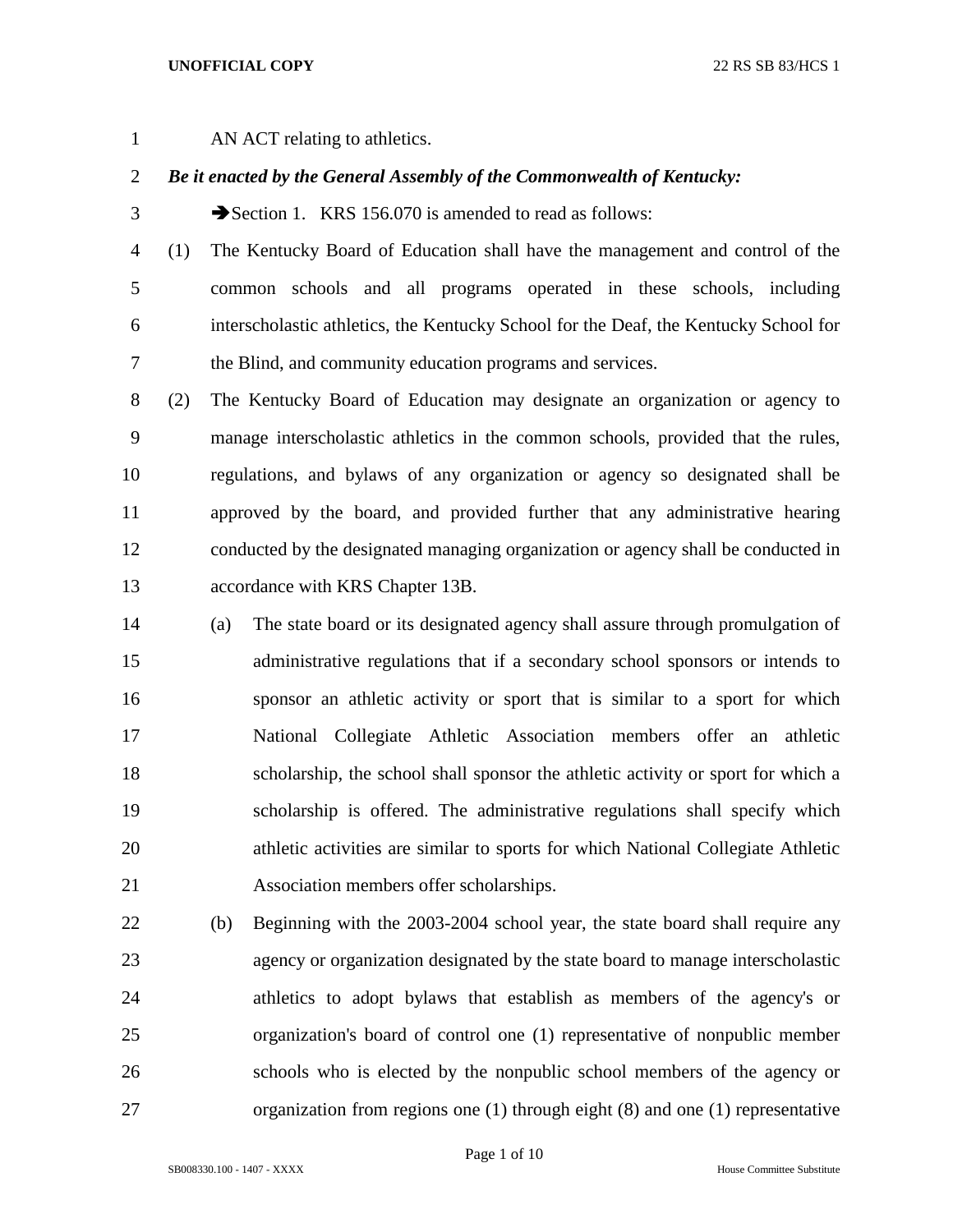## **UNOFFICIAL COPY** 22 RS SB 83/HCS 1

AN ACT relating to athletics.

## *Be it enacted by the General Assembly of the Commonwealth of Kentucky:*

3 Section 1. KRS 156.070 is amended to read as follows:

 (1) The Kentucky Board of Education shall have the management and control of the common schools and all programs operated in these schools, including interscholastic athletics, the Kentucky School for the Deaf, the Kentucky School for the Blind, and community education programs and services.

 (2) The Kentucky Board of Education may designate an organization or agency to manage interscholastic athletics in the common schools, provided that the rules, regulations, and bylaws of any organization or agency so designated shall be approved by the board, and provided further that any administrative hearing conducted by the designated managing organization or agency shall be conducted in accordance with KRS Chapter 13B.

- (a) The state board or its designated agency shall assure through promulgation of administrative regulations that if a secondary school sponsors or intends to sponsor an athletic activity or sport that is similar to a sport for which National Collegiate Athletic Association members offer an athletic scholarship, the school shall sponsor the athletic activity or sport for which a scholarship is offered. The administrative regulations shall specify which athletic activities are similar to sports for which National Collegiate Athletic Association members offer scholarships.
- (b) Beginning with the 2003-2004 school year, the state board shall require any agency or organization designated by the state board to manage interscholastic athletics to adopt bylaws that establish as members of the agency's or organization's board of control one (1) representative of nonpublic member schools who is elected by the nonpublic school members of the agency or organization from regions one (1) through eight (8) and one (1) representative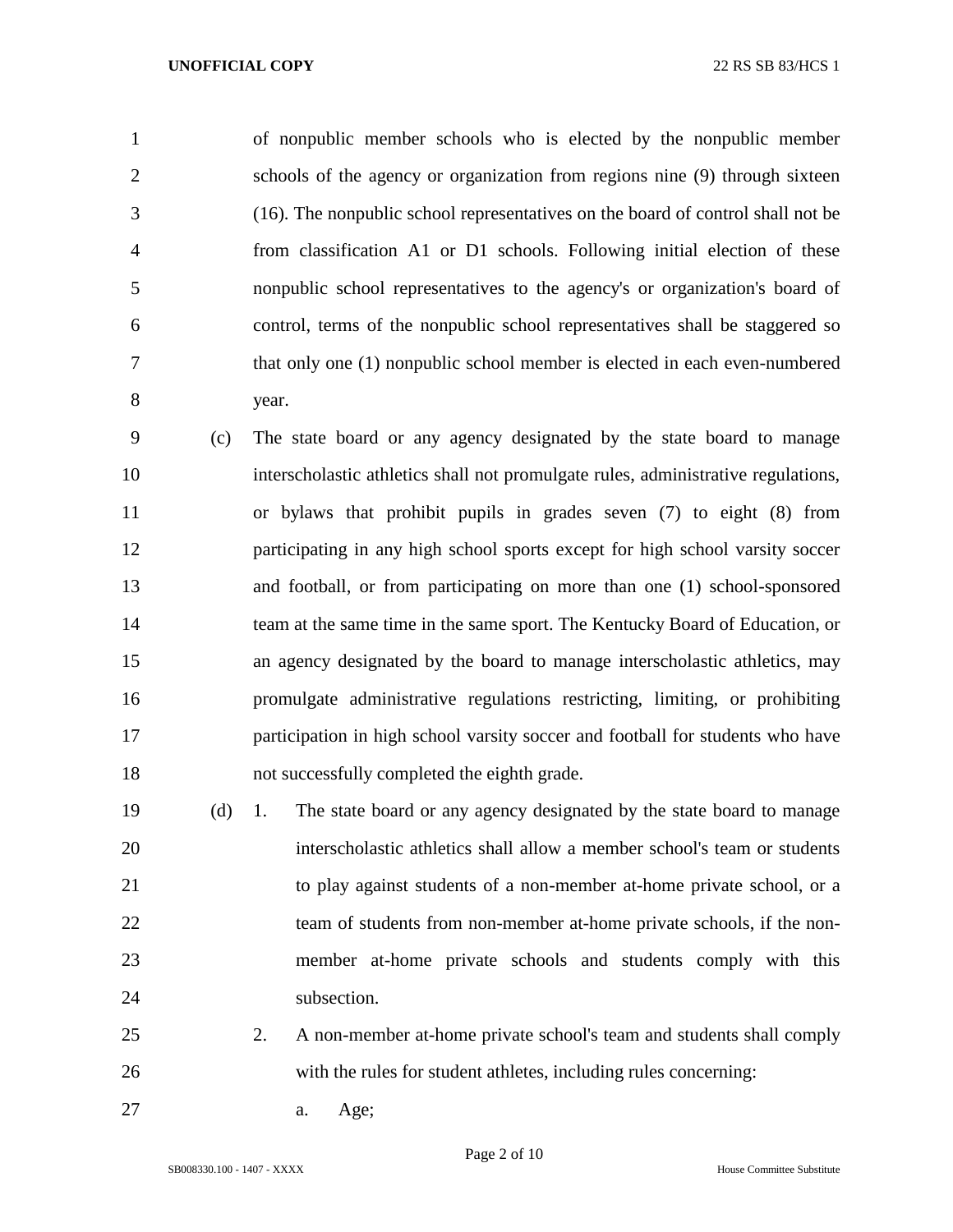of nonpublic member schools who is elected by the nonpublic member schools of the agency or organization from regions nine (9) through sixteen (16). The nonpublic school representatives on the board of control shall not be from classification A1 or D1 schools. Following initial election of these nonpublic school representatives to the agency's or organization's board of control, terms of the nonpublic school representatives shall be staggered so that only one (1) nonpublic school member is elected in each even-numbered year.

 (c) The state board or any agency designated by the state board to manage interscholastic athletics shall not promulgate rules, administrative regulations, or bylaws that prohibit pupils in grades seven (7) to eight (8) from participating in any high school sports except for high school varsity soccer and football, or from participating on more than one (1) school-sponsored team at the same time in the same sport. The Kentucky Board of Education, or an agency designated by the board to manage interscholastic athletics, may promulgate administrative regulations restricting, limiting, or prohibiting participation in high school varsity soccer and football for students who have not successfully completed the eighth grade.

 (d) 1. The state board or any agency designated by the state board to manage interscholastic athletics shall allow a member school's team or students to play against students of a non-member at-home private school, or a 22 team of students from non-member at-home private schools, if the non- member at-home private schools and students comply with this 24 subsection.

- 2. A non-member at-home private school's team and students shall comply with the rules for student athletes, including rules concerning:
- a. Age;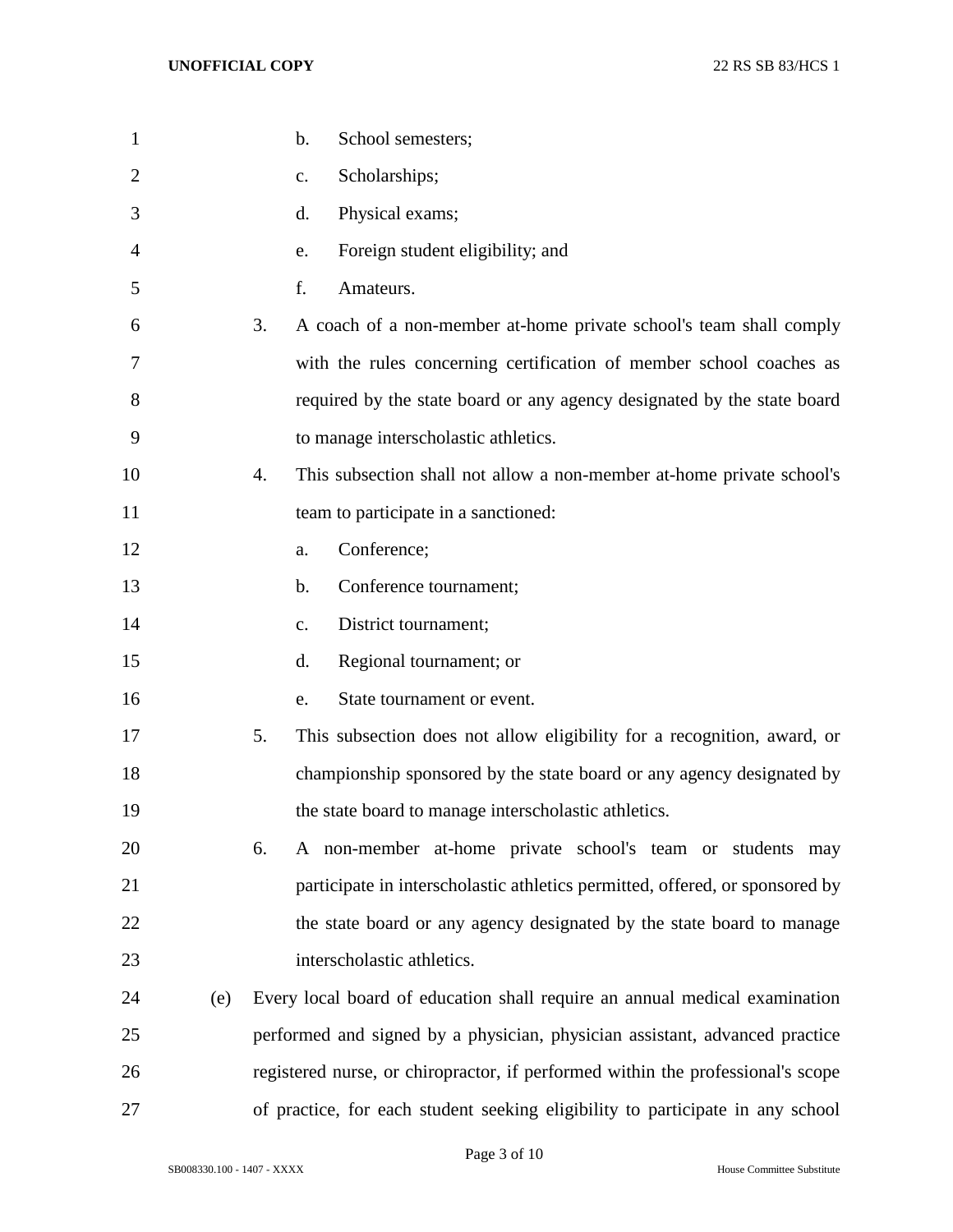| $\mathbf{1}$   |     | School semesters;<br>$\mathbf b$ .                                              |
|----------------|-----|---------------------------------------------------------------------------------|
| $\overline{2}$ |     | Scholarships;<br>$C_{\bullet}$                                                  |
| 3              |     | Physical exams;<br>d.                                                           |
| $\overline{4}$ |     | Foreign student eligibility; and<br>e.                                          |
| 5              |     | f.<br>Amateurs.                                                                 |
| 6              |     | 3.<br>A coach of a non-member at-home private school's team shall comply        |
| 7              |     | with the rules concerning certification of member school coaches as             |
| 8              |     | required by the state board or any agency designated by the state board         |
| 9              |     | to manage interscholastic athletics.                                            |
| 10             |     | This subsection shall not allow a non-member at-home private school's<br>4.     |
| 11             |     | team to participate in a sanctioned:                                            |
| 12             |     | Conference;<br>a.                                                               |
| 13             |     | Conference tournament;<br>$\mathbf{b}$ .                                        |
| 14             |     | District tournament;<br>$C_{\bullet}$                                           |
| 15             |     | Regional tournament; or<br>d.                                                   |
| 16             |     | State tournament or event.<br>e.                                                |
| 17             |     | 5.<br>This subsection does not allow eligibility for a recognition, award, or   |
| 18             |     | championship sponsored by the state board or any agency designated by           |
| 19             |     | the state board to manage interscholastic athletics.                            |
| 20             |     | A non-member at-home private school's team or students may<br>6.                |
| 21             |     | participate in interscholastic athletics permitted, offered, or sponsored by    |
| 22             |     | the state board or any agency designated by the state board to manage           |
| 23             |     | interscholastic athletics.                                                      |
| 24             | (e) | Every local board of education shall require an annual medical examination      |
| 25             |     | performed and signed by a physician, physician assistant, advanced practice     |
| 26             |     | registered nurse, or chiropractor, if performed within the professional's scope |
| 27             |     | of practice, for each student seeking eligibility to participate in any school  |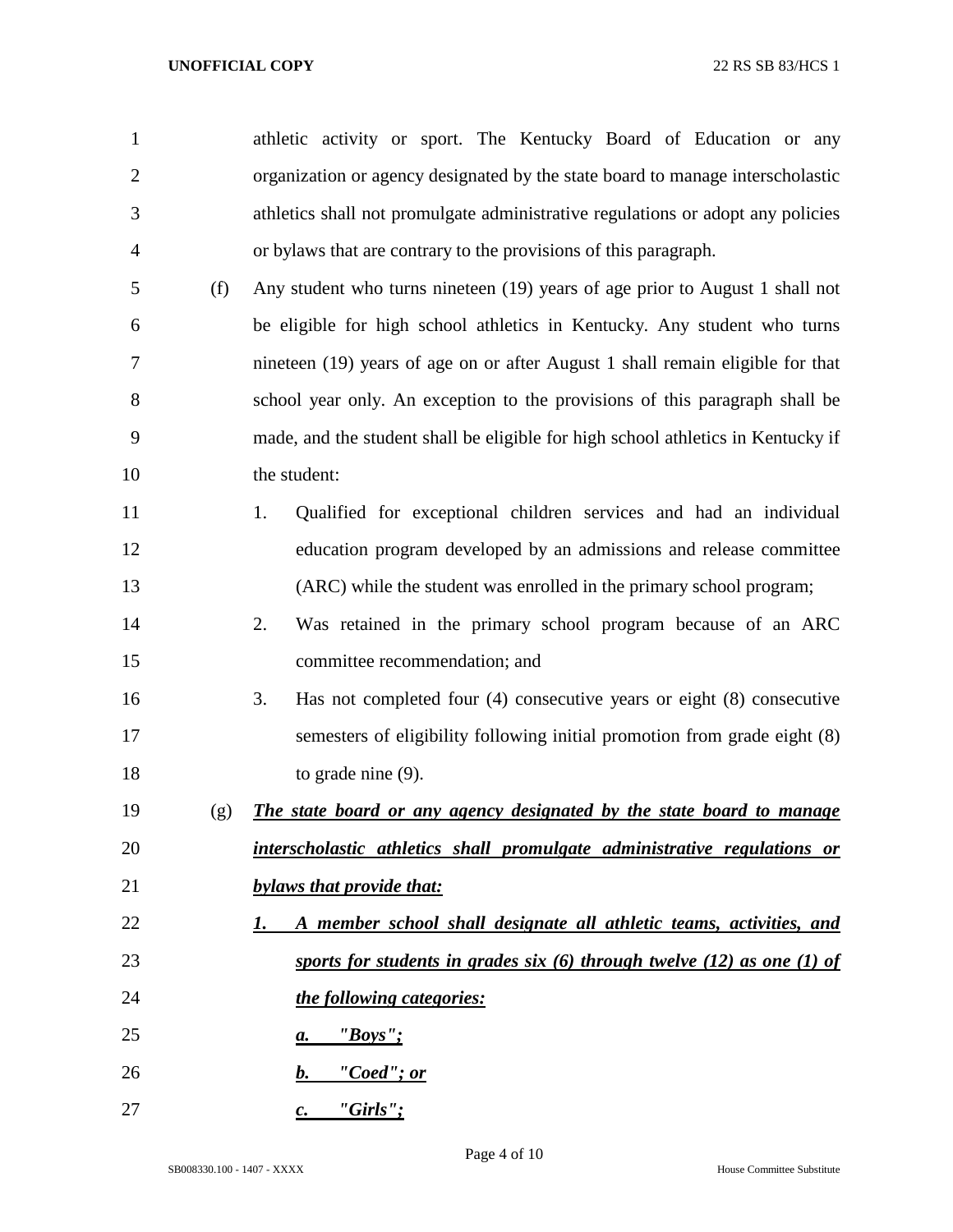| 1              |     | athletic activity or sport. The Kentucky Board of Education or any               |
|----------------|-----|----------------------------------------------------------------------------------|
| $\overline{2}$ |     | organization or agency designated by the state board to manage interscholastic   |
| 3              |     | athletics shall not promulgate administrative regulations or adopt any policies  |
| $\overline{4}$ |     | or bylaws that are contrary to the provisions of this paragraph.                 |
| 5              | (f) | Any student who turns nineteen (19) years of age prior to August 1 shall not     |
| 6              |     | be eligible for high school athletics in Kentucky. Any student who turns         |
| 7              |     | nineteen (19) years of age on or after August 1 shall remain eligible for that   |
| 8              |     | school year only. An exception to the provisions of this paragraph shall be      |
| 9              |     | made, and the student shall be eligible for high school athletics in Kentucky if |
| 10             |     | the student:                                                                     |
| 11             |     | Qualified for exceptional children services and had an individual<br>1.          |
| 12             |     | education program developed by an admissions and release committee               |
| 13             |     | (ARC) while the student was enrolled in the primary school program;              |
| 14             |     | Was retained in the primary school program because of an ARC<br>2.               |
| 15             |     | committee recommendation; and                                                    |
| 16             |     | Has not completed four $(4)$ consecutive years or eight $(8)$ consecutive<br>3.  |
| 17             |     | semesters of eligibility following initial promotion from grade eight (8)        |
| 18             |     | to grade nine $(9)$ .                                                            |
| 19             | (g) | The state board or any agency designated by the state board to manage            |
| 20             |     | interscholastic athletics shall promulgate administrative regulations or         |
| 21             |     | bylaws that provide that:                                                        |
| 22             |     | A member school shall designate all athletic teams, activities, and<br>1.        |
| 23             |     | sports for students in grades six $(6)$ through twelve $(12)$ as one $(1)$ of    |
| 24             |     | the following categories:                                                        |
| 25             |     | "Boys"<br>а.                                                                     |
| 26             |     | "Coed"; or<br>$\bm{b}$ .                                                         |
| 27             |     | "Girls";<br>$\mathcal{C}$ .                                                      |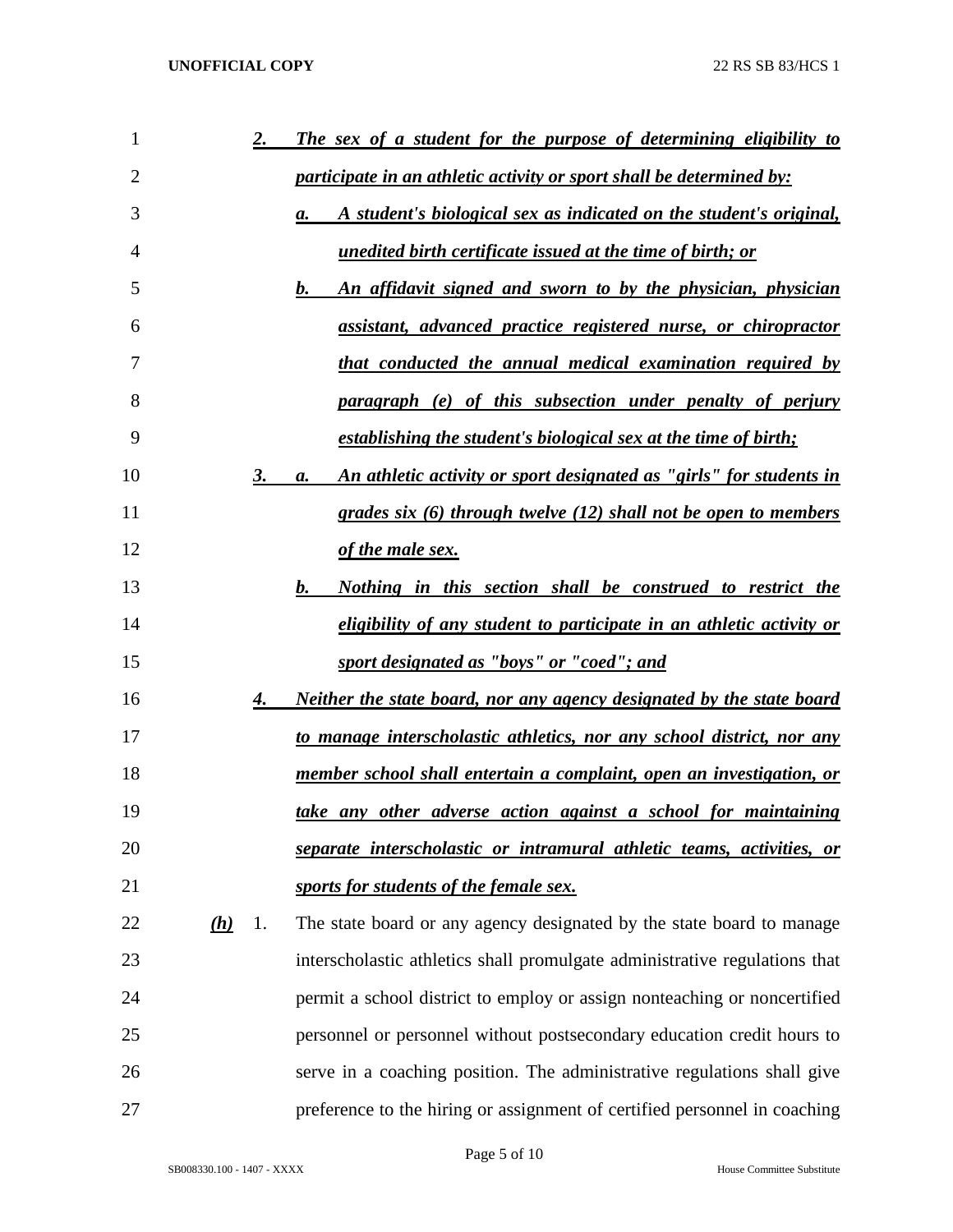| 1  |     | <u>2.</u> | The sex of a student for the purpose of determining eligibility to              |
|----|-----|-----------|---------------------------------------------------------------------------------|
| 2  |     |           | <i>participate in an athletic activity or sport shall be determined by:</i>     |
| 3  |     |           | A student's biological sex as indicated on the student's original,<br>a.        |
| 4  |     |           | unedited birth certificate issued at the time of birth; or                      |
| 5  |     |           | An affidavit signed and sworn to by the physician, physician<br>$\bm{b}$ .      |
| 6  |     |           | assistant, advanced practice registered nurse, or chiropractor                  |
| 7  |     |           | <u>that conducted the annual medical examination required by</u>                |
| 8  |     |           | paragraph (e) of this subsection under penalty of perjury                       |
| 9  |     |           | establishing the student's biological sex at the time of birth;                 |
| 10 |     | 3.        | An athletic activity or sport designated as "girls" for students in<br>а.       |
| 11 |     |           | grades six (6) through twelve (12) shall not be open to members                 |
| 12 |     |           | of the male sex.                                                                |
| 13 |     |           | $\bm{b}$ .<br><u>Nothing in this section shall be construed to restrict the</u> |
| 14 |     |           | eligibility of any student to participate in an athletic activity or            |
| 15 |     |           | sport designated as "boys" or "coed"; and                                       |
| 16 |     | 4.        | <u>Neither the state board, nor any agency designated by the state board</u>    |
| 17 |     |           | to manage interscholastic athletics, nor any school district, nor any           |
| 18 |     |           | member school shall entertain a complaint, open an investigation, or            |
| 19 |     |           | take any other adverse action against a school for maintaining                  |
| 20 |     |           | separate interscholastic or intramural athletic teams, activities, or           |
| 21 |     |           | sports for students of the female sex.                                          |
| 22 | (h) | 1.        | The state board or any agency designated by the state board to manage           |
| 23 |     |           | interscholastic athletics shall promulgate administrative regulations that      |
| 24 |     |           | permit a school district to employ or assign nonteaching or noncertified        |
| 25 |     |           | personnel or personnel without postsecondary education credit hours to          |
| 26 |     |           | serve in a coaching position. The administrative regulations shall give         |
| 27 |     |           | preference to the hiring or assignment of certified personnel in coaching       |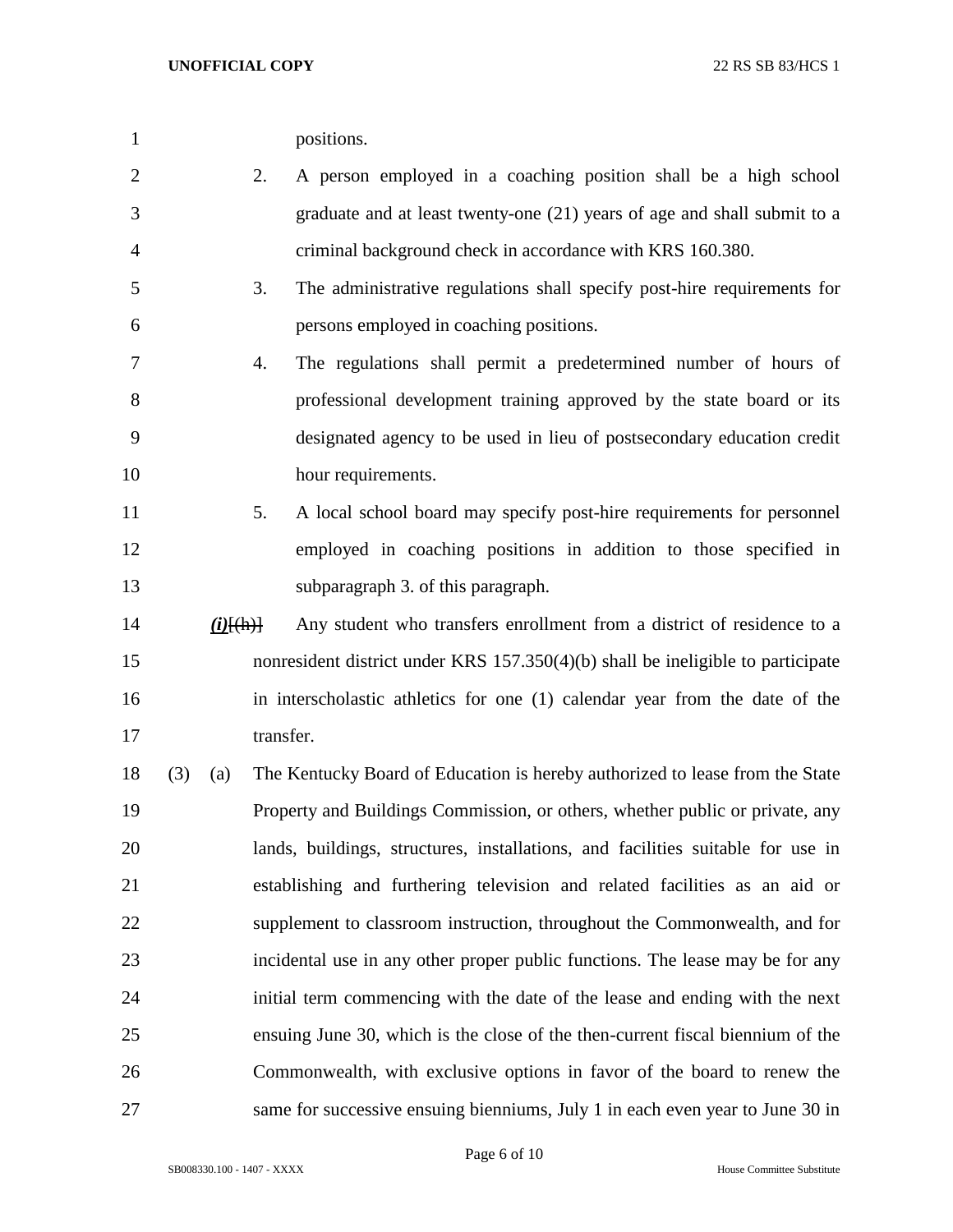| positions. |
|------------|
|            |

- 2. A person employed in a coaching position shall be a high school graduate and at least twenty-one (21) years of age and shall submit to a criminal background check in accordance with KRS 160.380.
- 3. The administrative regulations shall specify post-hire requirements for persons employed in coaching positions.
- 4. The regulations shall permit a predetermined number of hours of professional development training approved by the state board or its designated agency to be used in lieu of postsecondary education credit 10 hour requirements.
- 5. A local school board may specify post-hire requirements for personnel employed in coaching positions in addition to those specified in subparagraph 3. of this paragraph.
- *(i)*[(h)] Any student who transfers enrollment from a district of residence to a nonresident district under KRS 157.350(4)(b) shall be ineligible to participate in interscholastic athletics for one (1) calendar year from the date of the 17 transfer.
- (3) (a) The Kentucky Board of Education is hereby authorized to lease from the State Property and Buildings Commission, or others, whether public or private, any lands, buildings, structures, installations, and facilities suitable for use in establishing and furthering television and related facilities as an aid or supplement to classroom instruction, throughout the Commonwealth, and for incidental use in any other proper public functions. The lease may be for any initial term commencing with the date of the lease and ending with the next ensuing June 30, which is the close of the then-current fiscal biennium of the Commonwealth, with exclusive options in favor of the board to renew the same for successive ensuing bienniums, July 1 in each even year to June 30 in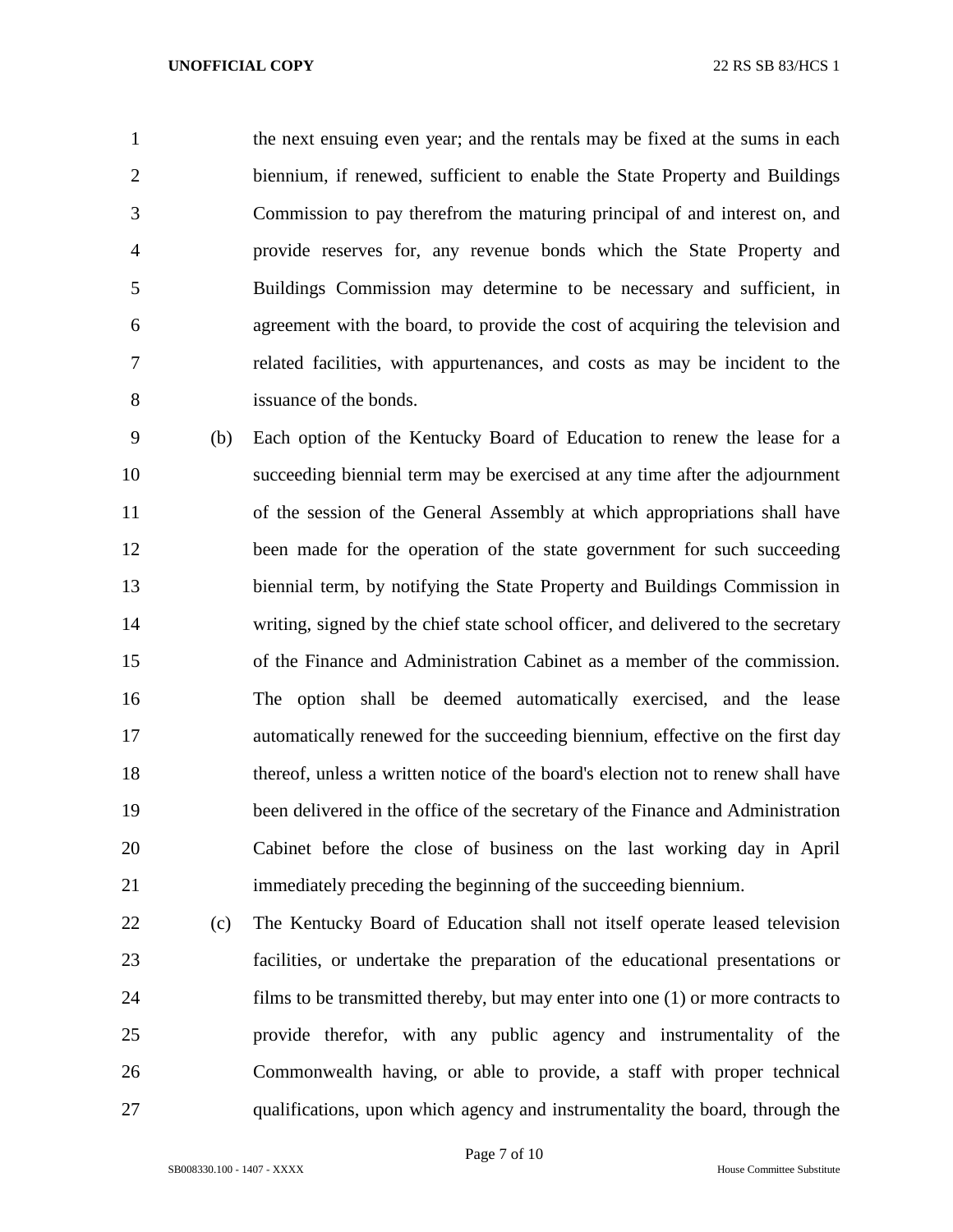the next ensuing even year; and the rentals may be fixed at the sums in each biennium, if renewed, sufficient to enable the State Property and Buildings Commission to pay therefrom the maturing principal of and interest on, and provide reserves for, any revenue bonds which the State Property and Buildings Commission may determine to be necessary and sufficient, in agreement with the board, to provide the cost of acquiring the television and related facilities, with appurtenances, and costs as may be incident to the issuance of the bonds.

 (b) Each option of the Kentucky Board of Education to renew the lease for a succeeding biennial term may be exercised at any time after the adjournment of the session of the General Assembly at which appropriations shall have 12 been made for the operation of the state government for such succeeding biennial term, by notifying the State Property and Buildings Commission in writing, signed by the chief state school officer, and delivered to the secretary of the Finance and Administration Cabinet as a member of the commission. The option shall be deemed automatically exercised, and the lease automatically renewed for the succeeding biennium, effective on the first day thereof, unless a written notice of the board's election not to renew shall have been delivered in the office of the secretary of the Finance and Administration Cabinet before the close of business on the last working day in April immediately preceding the beginning of the succeeding biennium.

 (c) The Kentucky Board of Education shall not itself operate leased television facilities, or undertake the preparation of the educational presentations or films to be transmitted thereby, but may enter into one (1) or more contracts to provide therefor, with any public agency and instrumentality of the Commonwealth having, or able to provide, a staff with proper technical qualifications, upon which agency and instrumentality the board, through the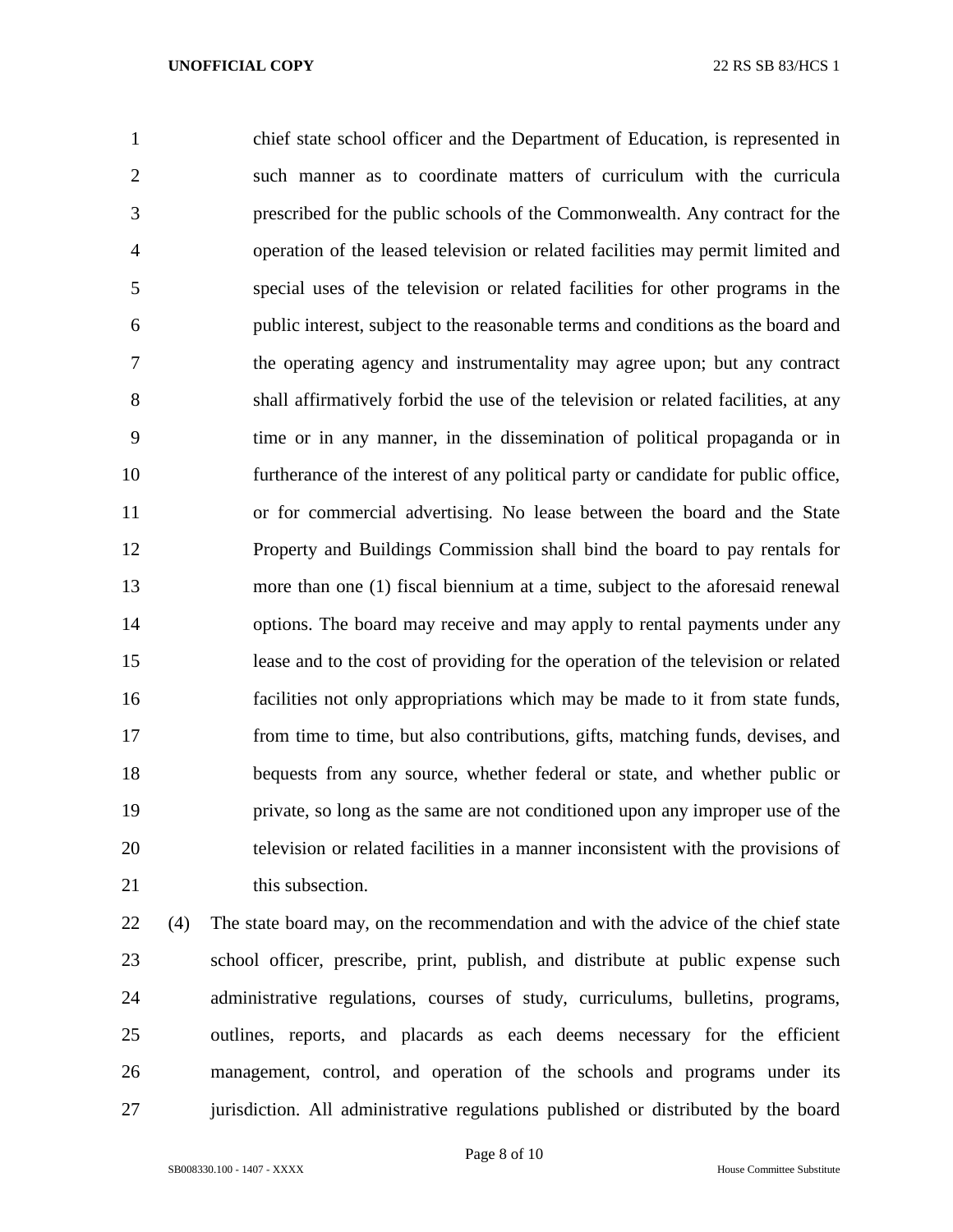chief state school officer and the Department of Education, is represented in such manner as to coordinate matters of curriculum with the curricula prescribed for the public schools of the Commonwealth. Any contract for the operation of the leased television or related facilities may permit limited and special uses of the television or related facilities for other programs in the public interest, subject to the reasonable terms and conditions as the board and the operating agency and instrumentality may agree upon; but any contract shall affirmatively forbid the use of the television or related facilities, at any time or in any manner, in the dissemination of political propaganda or in furtherance of the interest of any political party or candidate for public office, or for commercial advertising. No lease between the board and the State Property and Buildings Commission shall bind the board to pay rentals for more than one (1) fiscal biennium at a time, subject to the aforesaid renewal options. The board may receive and may apply to rental payments under any lease and to the cost of providing for the operation of the television or related facilities not only appropriations which may be made to it from state funds, from time to time, but also contributions, gifts, matching funds, devises, and bequests from any source, whether federal or state, and whether public or private, so long as the same are not conditioned upon any improper use of the television or related facilities in a manner inconsistent with the provisions of 21 this subsection.

 (4) The state board may, on the recommendation and with the advice of the chief state school officer, prescribe, print, publish, and distribute at public expense such administrative regulations, courses of study, curriculums, bulletins, programs, outlines, reports, and placards as each deems necessary for the efficient management, control, and operation of the schools and programs under its jurisdiction. All administrative regulations published or distributed by the board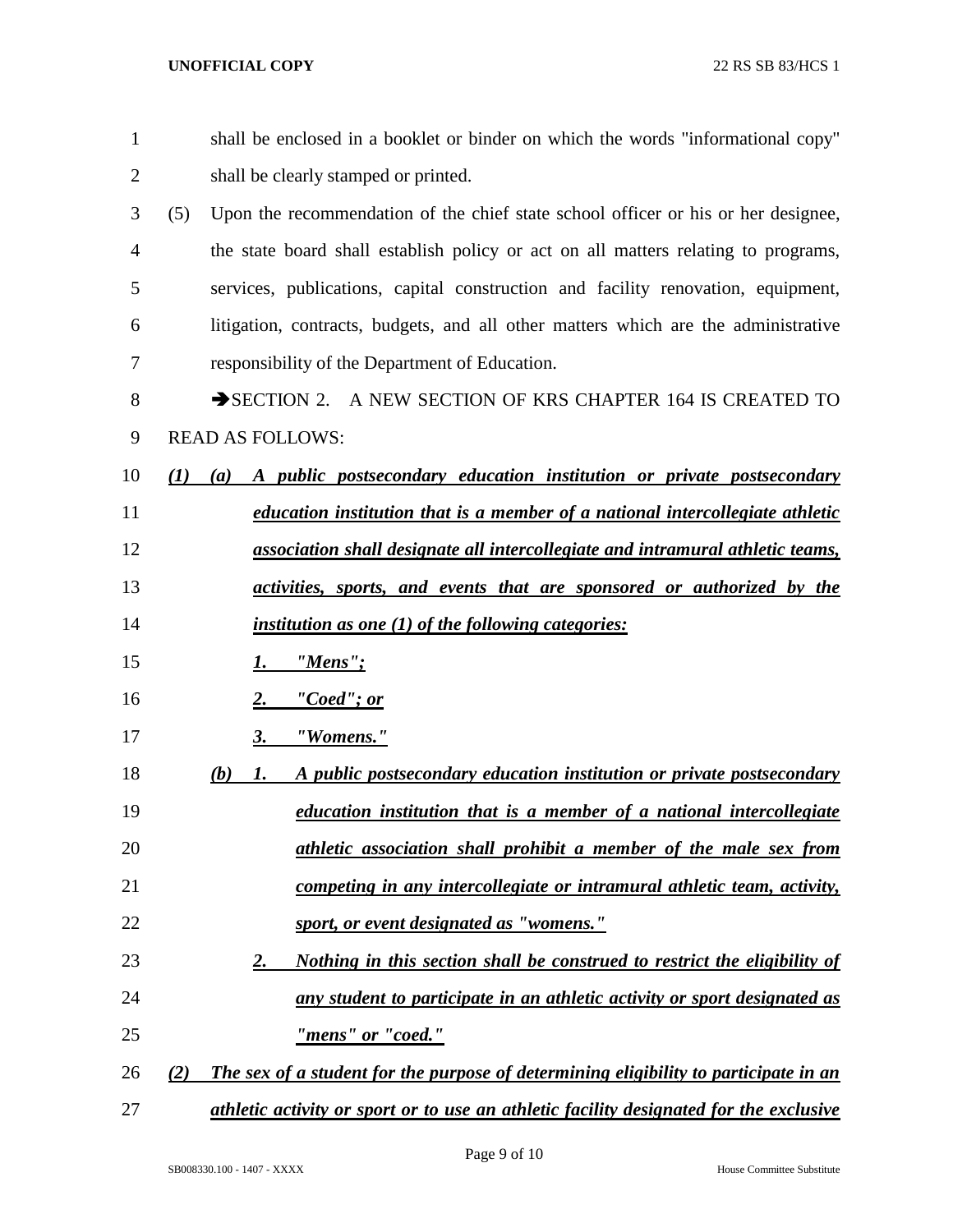| $\mathbf{1}$   | shall be enclosed in a booklet or binder on which the words "informational copy"            |
|----------------|---------------------------------------------------------------------------------------------|
| $\overline{2}$ | shall be clearly stamped or printed.                                                        |
| 3              | (5)<br>Upon the recommendation of the chief state school officer or his or her designee,    |
| 4              | the state board shall establish policy or act on all matters relating to programs,          |
| 5              | services, publications, capital construction and facility renovation, equipment,            |
| 6              | litigation, contracts, budgets, and all other matters which are the administrative          |
| 7              | responsibility of the Department of Education.                                              |
| 8              | SECTION 2. A NEW SECTION OF KRS CHAPTER 164 IS CREATED TO                                   |
| 9              | <b>READ AS FOLLOWS:</b>                                                                     |
| 10             | A public postsecondary education institution or private postsecondary<br>(I)<br>(a)         |
| 11             | education institution that is a member of a national intercollegiate athletic               |
| 12             | association shall designate all intercollegiate and intramural athletic teams,              |
| 13             | activities, sports, and events that are sponsored or authorized by the                      |
| 14             | <i>institution as one (1) of the following categories:</i>                                  |
| 15             | "Mens";<br>1.                                                                               |
| 16             | "Coed"; or<br>2.                                                                            |
| 17             | "Womens."<br>3.                                                                             |
| 18             | A public postsecondary education institution or private postsecondary<br>(b)<br>1.          |
| 19             | education institution that is a member of a national intercollegiate                        |
| 20             | athletic association shall prohibit a member of the male sex from                           |
| 21             | competing in any intercollegiate or intramural athletic team, activity,                     |
| 22             | sport, or event designated as "womens."                                                     |
| 23             | Nothing in this section shall be construed to restrict the eligibility of<br>2.             |
| 24             | any student to participate in an athletic activity or sport designated as                   |
| 25             | "mens" or "coed."                                                                           |
| 26             | The sex of a student for the purpose of determining eligibility to participate in an<br>(2) |
| 27             | athletic activity or sport or to use an athletic facility designated for the exclusive      |